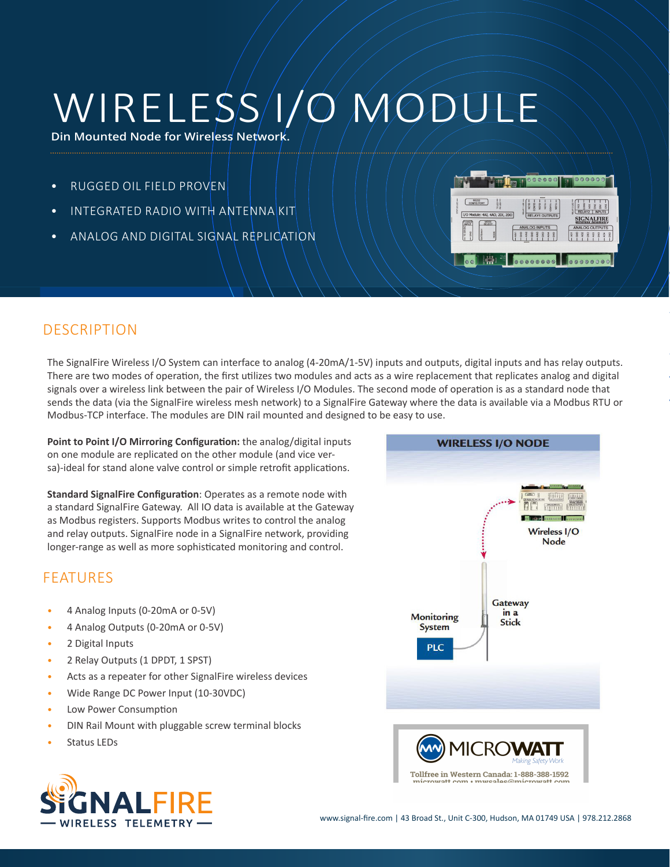# WIRELESS I/O MODULE

**Din Mounted Node for Wireless Network.**

- RUGGED OIL FIELD PROVEN
- INTEGRATED RADIO WITH ANTENNA KIT
- ANALOG AND DIGITAL SIGNAL REPLICATION



## DESCRIPTION

The SignalFire Wireless I/O System can interface to analog (4-20mA/1-5V) inputs and outputs, digital inputs and has relay outputs. There are two modes of operation, the first utilizes two modules and acts as a wire replacement that replicates analog and digital signals over a wireless link between the pair of Wireless I/O Modules. The second mode of operation is as a standard node that sends the data (via the SignalFire wireless mesh network) to a SignalFire Gateway where the data is available via a Modbus RTU or Modbus-TCP interface. The modules are DIN rail mounted and designed to be easy to use.

**Point to Point I/O Mirroring Configuration:** the analog/digital inputs on one module are replicated on the other module (and vice versa)-ideal for stand alone valve control or simple retrofit applications.

**Standard SignalFire Configuration**: Operates as a remote node with a standard SignalFire Gateway. All IO data is available at the Gateway as Modbus registers. Supports Modbus writes to control the analog and relay outputs. SignalFire node in a SignalFire network, providing longer-range as well as more sophisticated monitoring and control.

## FEATURES

- 4 Analog Inputs (0-20mA or 0-5V)
- 4 Analog Outputs (0-20mA or 0-5V)
- 2 Digital Inputs
- 2 Relay Outputs (1 DPDT, 1 SPST)
- Acts as a repeater for other SignalFire wireless devices
- Wide Range DC Power Input (10-30VDC)
- Low Power Consumption
- DIN Rail Mount with pluggable screw terminal blocks
- Status LEDs